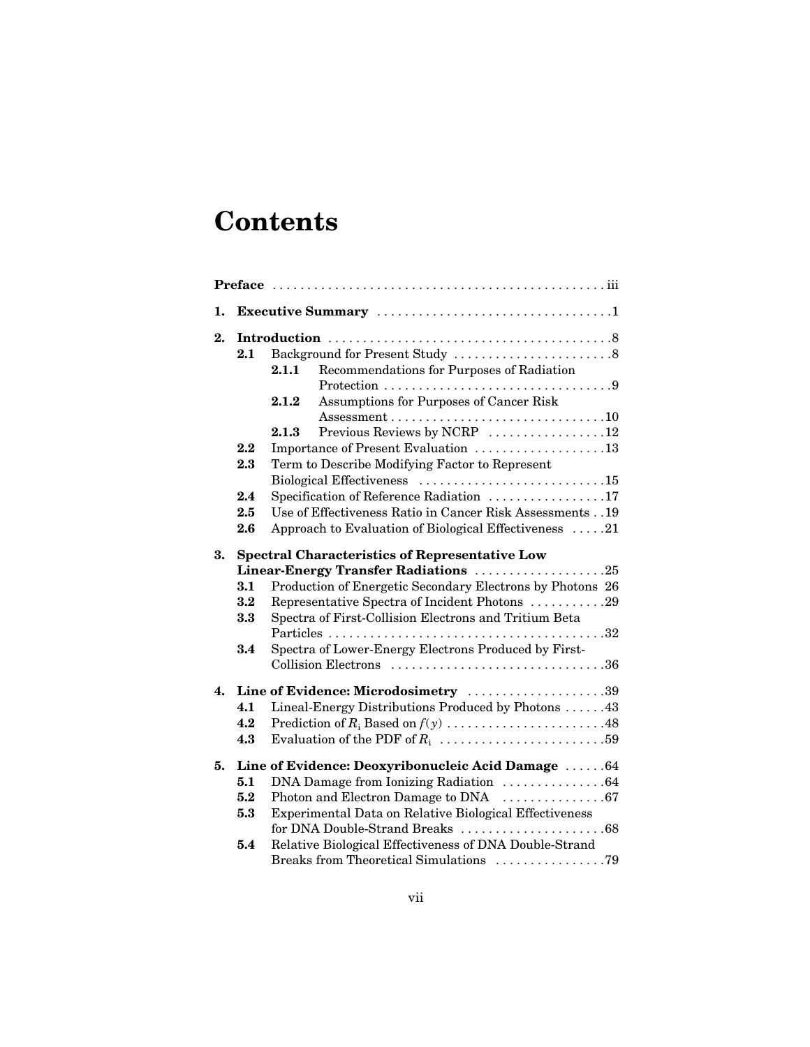## **Contents**

| 1.                 |                                                       |                                      |                                                           |  |  |  |
|--------------------|-------------------------------------------------------|--------------------------------------|-----------------------------------------------------------|--|--|--|
| 2.                 |                                                       |                                      |                                                           |  |  |  |
|                    | 2.1                                                   |                                      | Background for Present Study 8                            |  |  |  |
|                    |                                                       | 2.1.1                                | Recommendations for Purposes of Radiation                 |  |  |  |
|                    |                                                       |                                      |                                                           |  |  |  |
|                    |                                                       | 2.1.2                                | Assumptions for Purposes of Cancer Risk                   |  |  |  |
|                    |                                                       |                                      |                                                           |  |  |  |
|                    |                                                       | 2.1.3                                | Previous Reviews by NCRP 12                               |  |  |  |
|                    | $2.2\,$                                               | Importance of Present Evaluation 13  |                                                           |  |  |  |
|                    | 2.3                                                   |                                      | Term to Describe Modifying Factor to Represent            |  |  |  |
|                    |                                                       |                                      |                                                           |  |  |  |
|                    | 2.4                                                   |                                      | Specification of Reference Radiation 17                   |  |  |  |
|                    | 2.5                                                   |                                      | Use of Effectiveness Ratio in Cancer Risk Assessments 19  |  |  |  |
|                    | 2.6                                                   |                                      | Approach to Evaluation of Biological Effectiveness 21     |  |  |  |
| 3.                 | <b>Spectral Characteristics of Representative Low</b> |                                      |                                                           |  |  |  |
|                    |                                                       | Linear-Energy Transfer Radiations 25 |                                                           |  |  |  |
|                    | 3.1                                                   |                                      | Production of Energetic Secondary Electrons by Photons 26 |  |  |  |
|                    | 3.2                                                   |                                      | Representative Spectra of Incident Photons 29             |  |  |  |
|                    | 3.3                                                   |                                      | Spectra of First-Collision Electrons and Tritium Beta     |  |  |  |
|                    |                                                       |                                      |                                                           |  |  |  |
|                    | 3.4                                                   |                                      | Spectra of Lower-Energy Electrons Produced by First-      |  |  |  |
|                    |                                                       |                                      |                                                           |  |  |  |
| $\boldsymbol{4}$ . |                                                       |                                      | Line of Evidence: Microdosimetry 39                       |  |  |  |
|                    | 4.1                                                   |                                      | Lineal-Energy Distributions Produced by Photons 43        |  |  |  |
|                    | 4.2                                                   |                                      |                                                           |  |  |  |
|                    | 4.3                                                   |                                      |                                                           |  |  |  |
| 5.                 |                                                       |                                      | Line of Evidence: Deoxyribonucleic Acid Damage  64        |  |  |  |
|                    | 5.1                                                   |                                      | DNA Damage from Ionizing Radiation 64                     |  |  |  |
|                    | 5.2                                                   |                                      |                                                           |  |  |  |
|                    | 5.3                                                   |                                      | Experimental Data on Relative Biological Effectiveness    |  |  |  |
|                    |                                                       |                                      | for DNA Double-Strand Breaks 68                           |  |  |  |
|                    | 5.4                                                   |                                      | Relative Biological Effectiveness of DNA Double-Strand    |  |  |  |
|                    |                                                       |                                      | Breaks from Theoretical Simulations 79                    |  |  |  |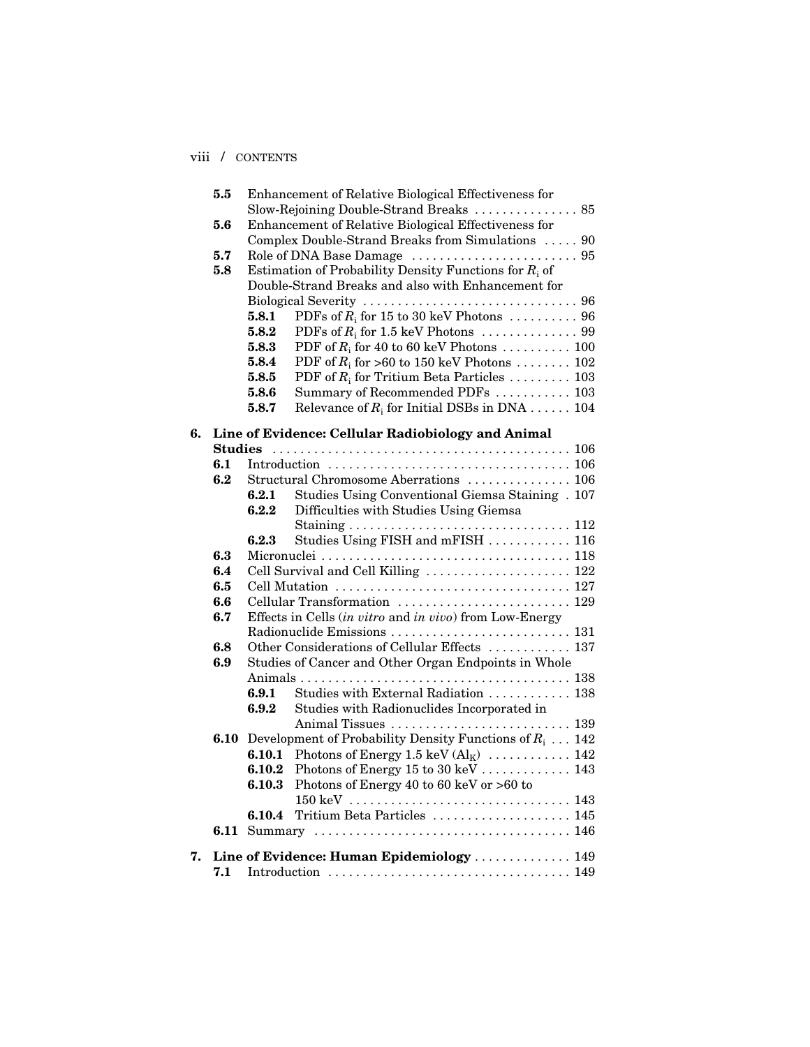## viii / CONTENTS

|    | 5.5            |                                                         | Enhancement of Relative Biological Effectiveness for      |  |  |
|----|----------------|---------------------------------------------------------|-----------------------------------------------------------|--|--|
|    |                |                                                         | Slow-Rejoining Double-Strand Breaks  85                   |  |  |
|    | 5.6            |                                                         | Enhancement of Relative Biological Effectiveness for      |  |  |
|    |                |                                                         | Complex Double-Strand Breaks from Simulations  90         |  |  |
|    | 5.7            |                                                         |                                                           |  |  |
|    | 5.8            |                                                         | Estimation of Probability Density Functions for $R_i$ of  |  |  |
|    |                |                                                         | Double-Strand Breaks and also with Enhancement for        |  |  |
|    |                |                                                         |                                                           |  |  |
|    |                | 5.8.1                                                   | PDFs of $R_i$ for 15 to 30 keV Photons  96                |  |  |
|    |                | 5.8.2                                                   |                                                           |  |  |
|    |                | 5.8.3                                                   | PDF of $R_i$ for 40 to 60 keV Photons  100                |  |  |
|    |                | 5.8.4                                                   | PDF of $R_i$ for >60 to 150 keV Photons  102              |  |  |
|    |                | 5.8.5                                                   | PDF of $R_i$ for Tritium Beta Particles  103              |  |  |
|    |                | 5.8.6                                                   | Summary of Recommended PDFs  103                          |  |  |
|    |                | 5.8.7                                                   | Relevance of $R_i$ for Initial DSBs in DNA 104            |  |  |
| 6. |                |                                                         | Line of Evidence: Cellular Radiobiology and Animal        |  |  |
|    | <b>Studies</b> |                                                         |                                                           |  |  |
|    | 6.1            |                                                         |                                                           |  |  |
|    | 6.2            |                                                         | Structural Chromosome Aberrations  106                    |  |  |
|    |                | 6.2.1                                                   | Studies Using Conventional Giemsa Staining . 107          |  |  |
|    |                | 6.2.2                                                   | Difficulties with Studies Using Giemsa                    |  |  |
|    |                |                                                         |                                                           |  |  |
|    |                | 6.2.3                                                   | Studies Using FISH and mFISH  116                         |  |  |
|    | 6.3            |                                                         |                                                           |  |  |
|    | 6.4            |                                                         | Cell Survival and Cell Killing  122                       |  |  |
|    | 6.5            |                                                         |                                                           |  |  |
|    | 6.6            | Cellular Transformation  129                            |                                                           |  |  |
|    | 6.7            | Effects in Cells (in vitro and in vivo) from Low-Energy |                                                           |  |  |
|    |                | Radionuclide Emissions  131                             |                                                           |  |  |
|    | 6.8            | Other Considerations of Cellular Effects  137           |                                                           |  |  |
|    | 6.9            | Studies of Cancer and Other Organ Endpoints in Whole    |                                                           |  |  |
|    |                |                                                         |                                                           |  |  |
|    |                | 6.9.1                                                   | Studies with External Radiation  138                      |  |  |
|    |                | 6.9.2                                                   | Studies with Radionuclides Incorporated in                |  |  |
|    |                |                                                         |                                                           |  |  |
|    | 6.10           |                                                         | Development of Probability Density Functions of $R_i$ 142 |  |  |
|    |                | 6.10.1                                                  | Photons of Energy 1.5 keV $(Al_K)$ 142                    |  |  |
|    |                | $\boldsymbol{6.10.2}$                                   | Photons of Energy 15 to 30 keV 143                        |  |  |
|    |                | 6.10.3                                                  | Photons of Energy 40 to 60 keV or $>60$ to                |  |  |
|    |                |                                                         |                                                           |  |  |
|    |                | 6.10.4                                                  | Tritium Beta Particles  145                               |  |  |
|    | 6.11           |                                                         |                                                           |  |  |
|    |                |                                                         |                                                           |  |  |
| 7. |                |                                                         | Line of Evidence: Human Epidemiology  149                 |  |  |
|    | 7.1            |                                                         |                                                           |  |  |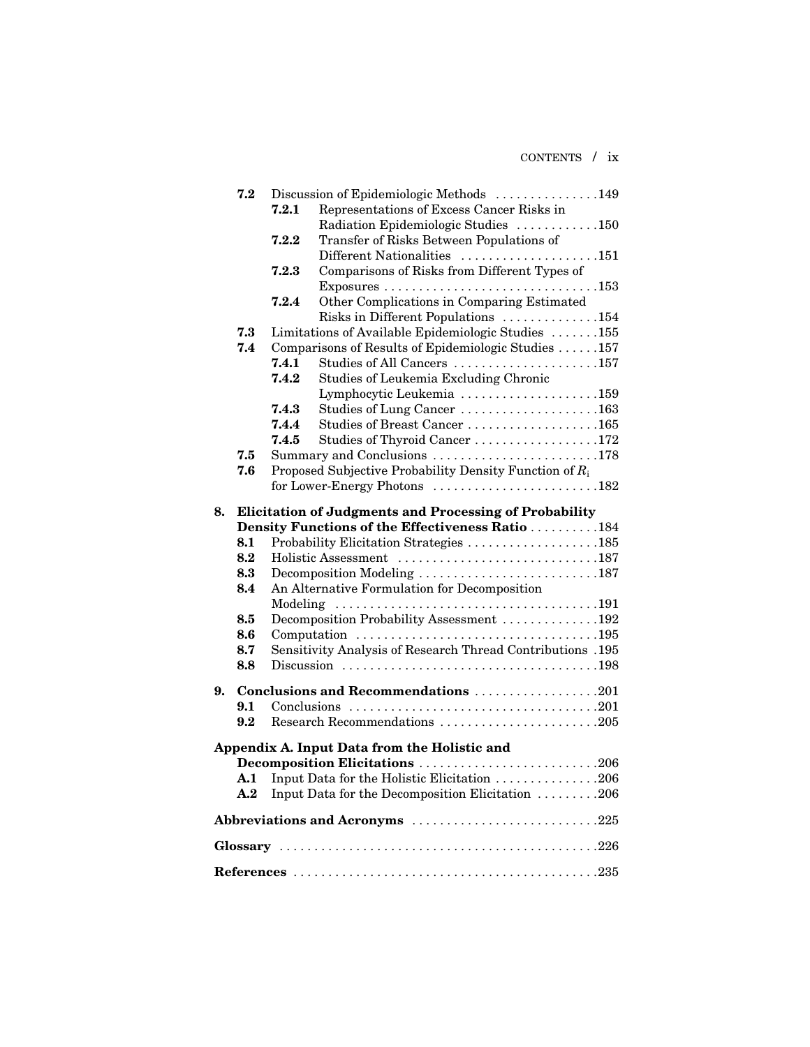CONTENTS / ix

|    | 7.2            | Discussion of Epidemiologic Methods 149                                                                      |                                                               |  |  |  |  |
|----|----------------|--------------------------------------------------------------------------------------------------------------|---------------------------------------------------------------|--|--|--|--|
|    |                | 7.2.1                                                                                                        | Representations of Excess Cancer Risks in                     |  |  |  |  |
|    |                |                                                                                                              | Radiation Epidemiologic Studies 150                           |  |  |  |  |
|    |                | ${\bf 7.2.2}$                                                                                                | Transfer of Risks Between Populations of                      |  |  |  |  |
|    |                |                                                                                                              | Different Nationalities 151                                   |  |  |  |  |
|    |                | 7.2.3                                                                                                        | Comparisons of Risks from Different Types of                  |  |  |  |  |
|    |                |                                                                                                              |                                                               |  |  |  |  |
|    |                | 7.2.4                                                                                                        | Other Complications in Comparing Estimated                    |  |  |  |  |
|    |                |                                                                                                              | Risks in Different Populations 154                            |  |  |  |  |
|    | 7.3            |                                                                                                              | Limitations of Available Epidemiologic Studies 155            |  |  |  |  |
|    | 7.4            |                                                                                                              | Comparisons of Results of Epidemiologic Studies 157           |  |  |  |  |
|    |                | 7.4.1                                                                                                        | Studies of All Cancers 157                                    |  |  |  |  |
|    |                | 7.4.2                                                                                                        | Studies of Leukemia Excluding Chronic                         |  |  |  |  |
|    |                |                                                                                                              | Lymphocytic Leukemia 159                                      |  |  |  |  |
|    |                | 7.4.3                                                                                                        | Studies of Lung Cancer 163                                    |  |  |  |  |
|    |                | 7.4.4                                                                                                        | Studies of Breast Cancer 165                                  |  |  |  |  |
|    |                | 7.4.5                                                                                                        | Studies of Thyroid Cancer 172                                 |  |  |  |  |
|    | 7.5            |                                                                                                              | Summary and Conclusions 178                                   |  |  |  |  |
|    | 7.6            |                                                                                                              | Proposed Subjective Probability Density Function of $R_i$     |  |  |  |  |
|    |                |                                                                                                              |                                                               |  |  |  |  |
| 8. |                |                                                                                                              | <b>Elicitation of Judgments and Processing of Probability</b> |  |  |  |  |
|    |                |                                                                                                              | Density Functions of the Effectiveness Ratio 184              |  |  |  |  |
|    | 8.1            |                                                                                                              | Probability Elicitation Strategies 185                        |  |  |  |  |
|    | 8.2            |                                                                                                              |                                                               |  |  |  |  |
|    | 8.3            |                                                                                                              | Decomposition Modeling 187                                    |  |  |  |  |
|    | 8.4            |                                                                                                              | An Alternative Formulation for Decomposition                  |  |  |  |  |
|    |                |                                                                                                              |                                                               |  |  |  |  |
|    | 8.5            |                                                                                                              | Decomposition Probability Assessment 192                      |  |  |  |  |
|    | 8.6            |                                                                                                              |                                                               |  |  |  |  |
|    | 8.7            |                                                                                                              | Sensitivity Analysis of Research Thread Contributions .195    |  |  |  |  |
|    | 8.8            |                                                                                                              |                                                               |  |  |  |  |
|    |                |                                                                                                              |                                                               |  |  |  |  |
| 9. |                |                                                                                                              | Conclusions and Recommendations 201                           |  |  |  |  |
|    | 9.1            | Conclusions $\ldots \ldots \ldots \ldots \ldots \ldots \ldots \ldots \ldots \ldots \ldots \ldots \ldots 201$ |                                                               |  |  |  |  |
|    | 9.2            |                                                                                                              | Research Recommendations 205                                  |  |  |  |  |
|    |                |                                                                                                              | Appendix A. Input Data from the Holistic and                  |  |  |  |  |
|    |                |                                                                                                              | Decomposition Elicitations 206                                |  |  |  |  |
|    | $\mathbf{A.1}$ |                                                                                                              | Input Data for the Holistic Elicitation 206                   |  |  |  |  |
|    | A.2            |                                                                                                              | Input Data for the Decomposition Elicitation 206              |  |  |  |  |
|    |                |                                                                                                              |                                                               |  |  |  |  |
|    |                |                                                                                                              | Abbreviations and Acronyms 225                                |  |  |  |  |
|    |                |                                                                                                              |                                                               |  |  |  |  |
|    |                |                                                                                                              |                                                               |  |  |  |  |
|    |                |                                                                                                              |                                                               |  |  |  |  |